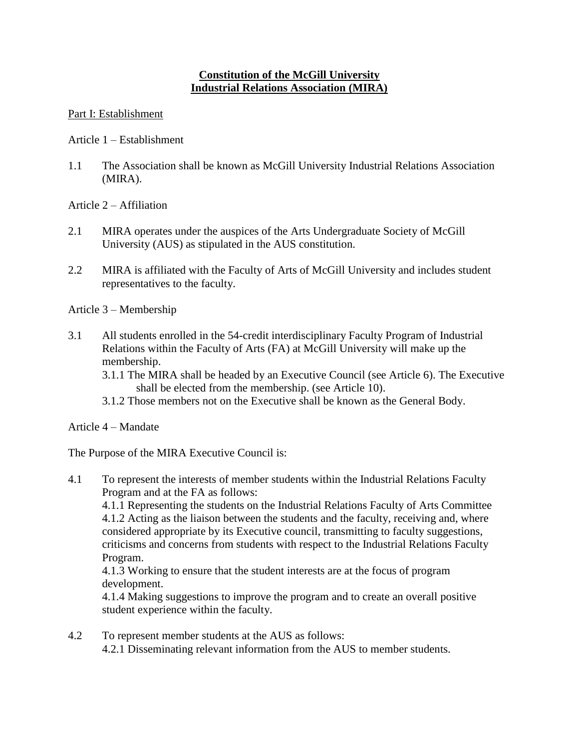# **Constitution of the McGill University Industrial Relations Association (MIRA)**

### Part I: Establishment

Article 1 – Establishment

- 1.1 The Association shall be known as McGill University Industrial Relations Association (MIRA).
- Article 2 Affiliation
- 2.1 MIRA operates under the auspices of the Arts Undergraduate Society of McGill University (AUS) as stipulated in the AUS constitution.
- 2.2 MIRA is affiliated with the Faculty of Arts of McGill University and includes student representatives to the faculty.

Article 3 – Membership

- 3.1 All students enrolled in the 54-credit interdisciplinary Faculty Program of Industrial Relations within the Faculty of Arts (FA) at McGill University will make up the membership.
	- 3.1.1 The MIRA shall be headed by an Executive Council (see Article 6). The Executive shall be elected from the membership. (see Article 10).
	- 3.1.2 Those members not on the Executive shall be known as the General Body.

Article 4 – Mandate

The Purpose of the MIRA Executive Council is:

4.1 To represent the interests of member students within the Industrial Relations Faculty Program and at the FA as follows:

4.1.1 Representing the students on the Industrial Relations Faculty of Arts Committee 4.1.2 Acting as the liaison between the students and the faculty, receiving and, where considered appropriate by its Executive council, transmitting to faculty suggestions, criticisms and concerns from students with respect to the Industrial Relations Faculty Program.

4.1.3 Working to ensure that the student interests are at the focus of program development.

4.1.4 Making suggestions to improve the program and to create an overall positive student experience within the faculty.

4.2 To represent member students at the AUS as follows: 4.2.1 Disseminating relevant information from the AUS to member students.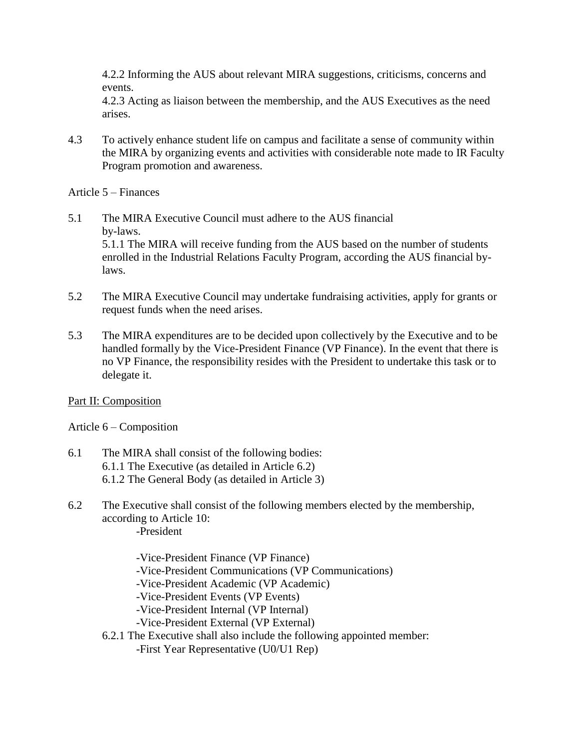4.2.2 Informing the AUS about relevant MIRA suggestions, criticisms, concerns and events.

4.2.3 Acting as liaison between the membership, and the AUS Executives as the need arises.

4.3 To actively enhance student life on campus and facilitate a sense of community within the MIRA by organizing events and activities with considerable note made to IR Faculty Program promotion and awareness.

Article 5 – Finances

- 5.1 The MIRA Executive Council must adhere to the AUS financial by-laws. 5.1.1 The MIRA will receive funding from the AUS based on the number of students enrolled in the Industrial Relations Faculty Program, according the AUS financial bylaws.
- 5.2 The MIRA Executive Council may undertake fundraising activities, apply for grants or request funds when the need arises.
- 5.3 The MIRA expenditures are to be decided upon collectively by the Executive and to be handled formally by the Vice-President Finance (VP Finance). In the event that there is no VP Finance, the responsibility resides with the President to undertake this task or to delegate it.

Part II: Composition

Article 6 – Composition

- 6.1 The MIRA shall consist of the following bodies: 6.1.1 The Executive (as detailed in Article 6.2) 6.1.2 The General Body (as detailed in Article 3)
- 6.2 The Executive shall consist of the following members elected by the membership, according to Article 10: -President

-Vice-President Finance (VP Finance) -Vice-President Communications (VP Communications) -Vice-President Academic (VP Academic) -Vice-President Events (VP Events) -Vice-President Internal (VP Internal) -Vice-President External (VP External) 6.2.1 The Executive shall also include the following appointed member: -First Year Representative (U0/U1 Rep)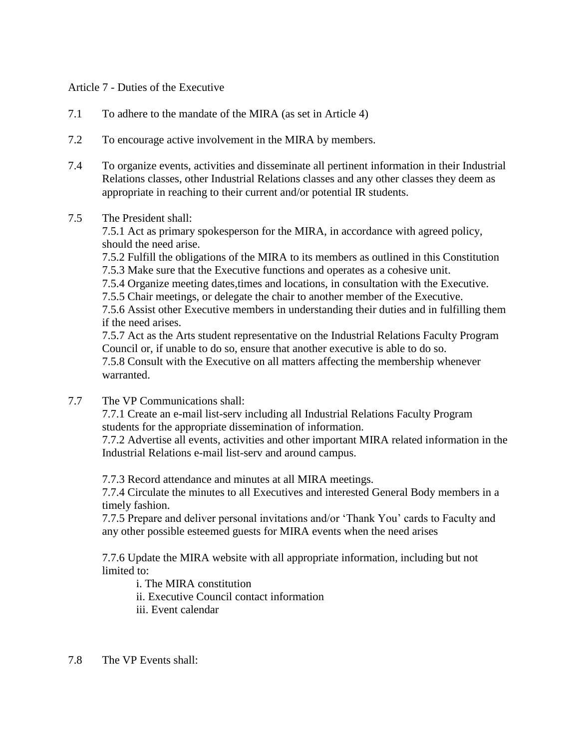## Article 7 - Duties of the Executive

- 7.1 To adhere to the mandate of the MIRA (as set in Article 4)
- 7.2 To encourage active involvement in the MIRA by members.
- 7.4 To organize events, activities and disseminate all pertinent information in their Industrial Relations classes, other Industrial Relations classes and any other classes they deem as appropriate in reaching to their current and/or potential IR students.

#### 7.5 The President shall:

7.5.1 Act as primary spokesperson for the MIRA, in accordance with agreed policy, should the need arise.

7.5.2 Fulfill the obligations of the MIRA to its members as outlined in this Constitution

7.5.3 Make sure that the Executive functions and operates as a cohesive unit.

7.5.4 Organize meeting dates,times and locations, in consultation with the Executive.

7.5.5 Chair meetings, or delegate the chair to another member of the Executive.

7.5.6 Assist other Executive members in understanding their duties and in fulfilling them if the need arises.

7.5.7 Act as the Arts student representative on the Industrial Relations Faculty Program Council or, if unable to do so, ensure that another executive is able to do so.

7.5.8 Consult with the Executive on all matters affecting the membership whenever warranted.

7.7 The VP Communications shall:

7.7.1 Create an e-mail list-serv including all Industrial Relations Faculty Program students for the appropriate dissemination of information.

7.7.2 Advertise all events, activities and other important MIRA related information in the Industrial Relations e-mail list-serv and around campus.

7.7.3 Record attendance and minutes at all MIRA meetings.

7.7.4 Circulate the minutes to all Executives and interested General Body members in a timely fashion.

7.7.5 Prepare and deliver personal invitations and/or 'Thank You' cards to Faculty and any other possible esteemed guests for MIRA events when the need arises

7.7.6 Update the MIRA website with all appropriate information, including but not limited to:

i. The MIRA constitution

ii. Executive Council contact information

- iii. Event calendar
- 7.8 The VP Events shall: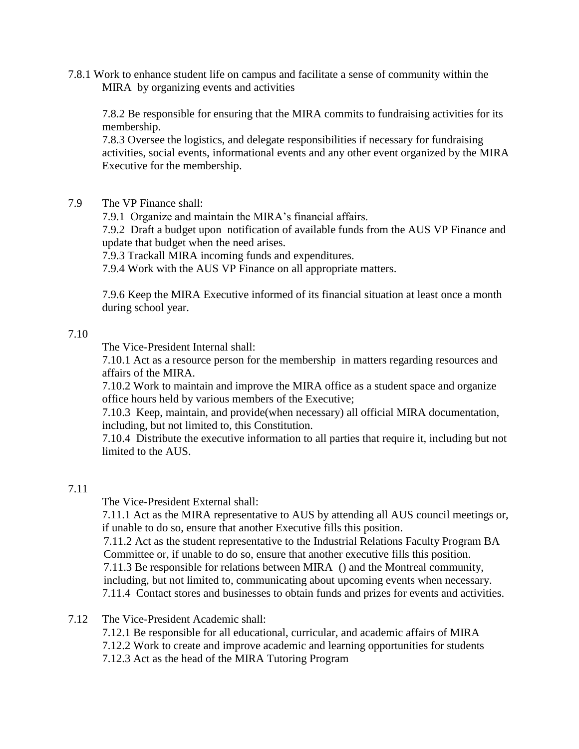7.8.1 Work to enhance student life on campus and facilitate a sense of community within the MIRA by organizing events and activities

7.8.2 Be responsible for ensuring that the MIRA commits to fundraising activities for its membership.

7.8.3 Oversee the logistics, and delegate responsibilities if necessary for fundraising activities, social events, informational events and any other event organized by the MIRA Executive for the membership.

7.9 The VP Finance shall:

7.9.1 Organize and maintain the MIRA's financial affairs.

7.9.2 Draft a budget upon notification of available funds from the AUS VP Finance and update that budget when the need arises.

7.9.3 Trackall MIRA incoming funds and expenditures.

7.9.4 Work with the AUS VP Finance on all appropriate matters.

7.9.6 Keep the MIRA Executive informed of its financial situation at least once a month during school year.

#### 7.10

The Vice-President Internal shall:

7.10.1 Act as a resource person for the membership in matters regarding resources and affairs of the MIRA.

7.10.2 Work to maintain and improve the MIRA office as a student space and organize office hours held by various members of the Executive;

7.10.3 Keep, maintain, and provide(when necessary) all official MIRA documentation, including, but not limited to, this Constitution.

7.10.4 Distribute the executive information to all parties that require it, including but not limited to the AUS.

# 7.11

The Vice-President External shall:

7.11.1 Act as the MIRA representative to AUS by attending all AUS council meetings or, if unable to do so, ensure that another Executive fills this position.

7.11.2 Act as the student representative to the Industrial Relations Faculty Program BA Committee or, if unable to do so, ensure that another executive fills this position.

7.11.3 Be responsible for relations between MIRA () and the Montreal community, including, but not limited to, communicating about upcoming events when necessary.

7.11.4 Contact stores and businesses to obtain funds and prizes for events and activities.

- 7.12 The Vice-President Academic shall:
	- 7.12.1 Be responsible for all educational, curricular, and academic affairs of MIRA
	- 7.12.2 Work to create and improve academic and learning opportunities for students
	- 7.12.3 Act as the head of the MIRA Tutoring Program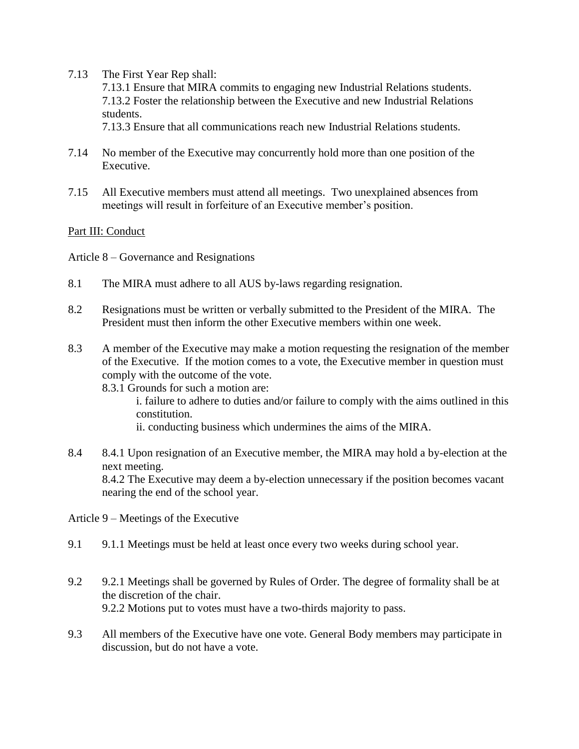7.13 The First Year Rep shall:

7.13.1 Ensure that MIRA commits to engaging new Industrial Relations students. 7.13.2 Foster the relationship between the Executive and new Industrial Relations students.

7.13.3 Ensure that all communications reach new Industrial Relations students.

- 7.14 No member of the Executive may concurrently hold more than one position of the Executive.
- 7.15 All Executive members must attend all meetings. Two unexplained absences from meetings will result in forfeiture of an Executive member's position.

## Part III: Conduct

Article 8 – Governance and Resignations

- 8.1 The MIRA must adhere to all AUS by-laws regarding resignation.
- 8.2 Resignations must be written or verbally submitted to the President of the MIRA. The President must then inform the other Executive members within one week.
- 8.3 A member of the Executive may make a motion requesting the resignation of the member of the Executive. If the motion comes to a vote, the Executive member in question must comply with the outcome of the vote.

8.3.1 Grounds for such a motion are:

i. failure to adhere to duties and/or failure to comply with the aims outlined in this constitution.

ii. conducting business which undermines the aims of the MIRA.

8.4 8.4.1 Upon resignation of an Executive member, the MIRA may hold a by-election at the next meeting. 8.4.2 The Executive may deem a by-election unnecessary if the position becomes vacant nearing the end of the school year.

Article 9 – Meetings of the Executive

- 9.1 9.1.1 Meetings must be held at least once every two weeks during school year.
- 9.2 9.2.1 Meetings shall be governed by Rules of Order. The degree of formality shall be at the discretion of the chair. 9.2.2 Motions put to votes must have a two-thirds majority to pass.
- 9.3 All members of the Executive have one vote. General Body members may participate in discussion, but do not have a vote.